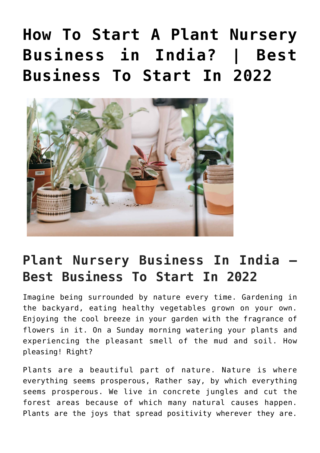# **[How To Start A Plant Nursery](https://inbusinessideas.com/starting-plant-nursery-business-in-india/) [Business in India? | Best](https://inbusinessideas.com/starting-plant-nursery-business-in-india/) [Business To Start In 2022](https://inbusinessideas.com/starting-plant-nursery-business-in-india/)**



## **Plant Nursery Business In India – Best Business To Start In 2022**

Imagine being surrounded by nature every time. Gardening in the backyard, eating healthy vegetables grown on your own. Enjoying the cool breeze in your garden with the fragrance of flowers in it. On a Sunday morning watering your plants and experiencing the pleasant smell of the mud and soil. How pleasing! Right?

Plants are a beautiful part of nature. Nature is where everything seems prosperous, Rather say, by which everything seems prosperous. We live in concrete jungles and cut the forest areas because of which many natural causes happen. Plants are the joys that spread positivity wherever they are.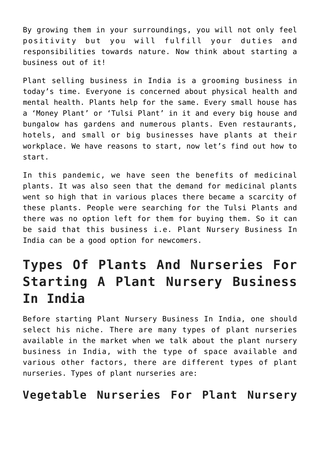By growing them in your surroundings, you will not only feel positivity but you will fulfill your duties and responsibilities towards nature. Now think about starting a business out of it!

Plant selling business in India is a grooming business in today's time. Everyone is concerned about physical health and mental health. Plants help for the same. Every small house has a 'Money Plant' or 'Tulsi Plant' in it and every big house and bungalow has gardens and numerous plants. Even restaurants, hotels, and small or big businesses have plants at their workplace. We have reasons to start, now let's find out how to start.

In this pandemic, we have seen the benefits of medicinal plants. It was also seen that the demand for medicinal plants went so high that in various places there became a scarcity of these plants. People were searching for the Tulsi Plants and there was no option left for them for buying them. So it can be said that this business i.e. Plant Nursery Business In India can be a good option for newcomers.

## **Types Of Plants And Nurseries For Starting A Plant Nursery Business In India**

Before starting Plant Nursery Business In India, one should select his niche. There are many types of plant nurseries available in the market when we talk about the plant nursery business in India, with the type of space available and various other factors, there are different types of plant nurseries. Types of plant nurseries are:

### **Vegetable Nurseries For Plant Nursery**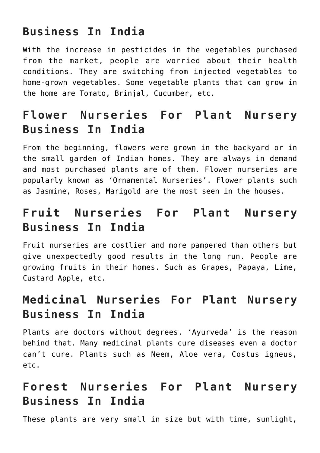### **Business In India**

With the increase in pesticides in the vegetables purchased from the market, people are worried about their health conditions. They are switching from injected vegetables to home-grown vegetables. Some vegetable plants that can grow in the home are Tomato, Brinjal, Cucumber, etc.

### **Flower Nurseries For Plant Nursery Business In India**

From the beginning, flowers were grown in the backyard or in the small garden of Indian homes. They are always in demand and most purchased plants are of them. Flower nurseries are popularly known as 'Ornamental Nurseries'. Flower plants such as Jasmine, Roses, Marigold are the most seen in the houses.

### **Fruit Nurseries For Plant Nursery Business In India**

Fruit nurseries are costlier and more pampered than others but give unexpectedly good results in the long run. People are growing fruits in their homes. Such as Grapes, Papaya, Lime, Custard Apple, etc.

### **Medicinal Nurseries For Plant Nursery Business In India**

Plants are doctors without degrees. 'Ayurveda' is the reason behind that. Many medicinal plants cure diseases even a doctor can't cure. Plants such as Neem, Aloe vera, Costus igneus, etc.

### **Forest Nurseries For Plant Nursery Business In India**

These plants are very small in size but with time, sunlight,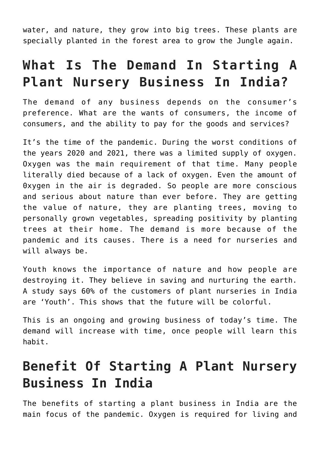water, and nature, they grow into big trees. These plants are specially planted in the forest area to grow the Jungle again.

## **What Is The Demand In Starting A Plant Nursery Business In India?**

The demand of any business depends on the consumer's preference. What are the wants of consumers, the income of consumers, and the ability to pay for the goods and services?

It's the time of the pandemic. During the worst conditions of the years 2020 and 2021, there was a limited supply of oxygen. Oxygen was the main requirement of that time. Many people literally died because of a lack of oxygen. Even the amount of 0xygen in the air is degraded. So people are more conscious and serious about nature than ever before. They are getting the value of nature, they are planting trees, moving to personally grown vegetables, spreading positivity by planting trees at their home. The demand is more because of the pandemic and its causes. There is a need for nurseries and will always be.

Youth knows the importance of nature and how people are destroying it. They believe in saving and nurturing the earth. A study says 60% of the customers of plant nurseries in India are 'Youth'. This shows that the future will be colorful.

This is an ongoing and growing business of today's time. The demand will increase with time, once people will learn this habit.

## **Benefit Of Starting A Plant Nursery Business In India**

The benefits of starting a plant business in India are the main focus of the pandemic. Oxygen is required for living and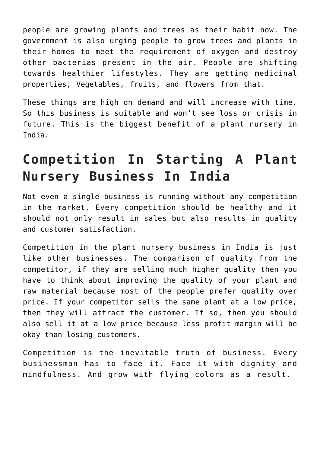people are growing plants and trees as their habit now. The government is also urging people to grow trees and plants in their homes to meet the requirement of oxygen and destroy other bacterias present in the air. People are shifting towards healthier lifestyles. They are getting medicinal properties, Vegetables, fruits, and flowers from that.

These things are high on demand and will increase with time. So this business is suitable and won't see loss or crisis in future. This is the biggest benefit of a plant nursery in India.

## **Competition In Starting A Plant Nursery Business In India**

Not even a single business is running without any competition in the market. Every competition should be healthy and it should not only result in sales but also results in quality and customer satisfaction.

Competition in the plant nursery business in India is just like other businesses. The comparison of quality from the competitor, if they are selling much higher quality then you have to think about improving the quality of your plant and raw material because most of the people prefer quality over price. If your competitor sells the same plant at a low price, then they will attract the customer. If so, then you should also sell it at a low price because less profit margin will be okay than losing customers.

Competition is the inevitable truth of business. Every businessman has to face it. Face it with dignity and mindfulness. And grow with flying colors as a result.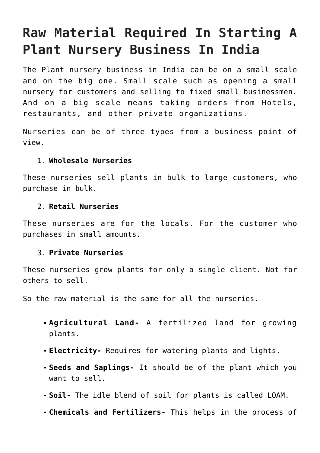## **Raw Material Required In Starting A Plant Nursery Business In India**

The Plant nursery business in India can be on a small scale and on the big one. Small scale such as opening a small nursery for customers and selling to fixed small businessmen. And on a big scale means taking orders from Hotels, restaurants, and other private organizations.

Nurseries can be of three types from a business point of view.

#### 1. **Wholesale Nurseries**

These nurseries sell plants in bulk to large customers, who purchase in bulk.

#### 2. **Retail Nurseries**

These nurseries are for the locals. For the customer who purchases in small amounts.

#### 3. **Private Nurseries**

These nurseries grow plants for only a single client. Not for others to sell.

So the raw material is the same for all the nurseries.

- **Agricultural Land-** A fertilized land for growing plants.
- **Electricity-** Requires for watering plants and lights.
- **Seeds and Saplings-** It should be of the plant which you want to sell.
- **Soil-** The idle blend of soil for plants is called LOAM.
- **Chemicals and Fertilizers-** This helps in the process of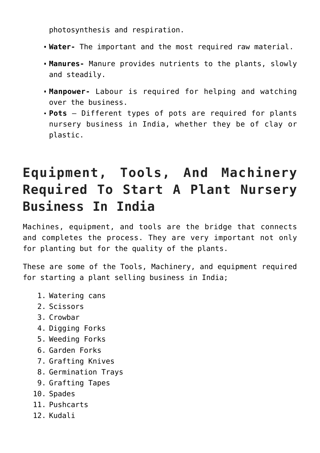photosynthesis and respiration.

- **Water-** The important and the most required raw material.
- **Manures-** Manure provides nutrients to the plants, slowly and steadily.
- **Manpower-** Labour is required for helping and watching over the business.
- **Pots** Different types of pots are required for plants nursery business in India, whether they be of clay or plastic.

## **Equipment, Tools, And Machinery Required To Start A Plant Nursery Business In India**

Machines, equipment, and tools are the bridge that connects and completes the process. They are very important not only for planting but for the quality of the plants.

These are some of the Tools, Machinery, and equipment required for starting a plant selling business in India;

- 1. Watering cans
- 2. Scissors
- 3. Crowbar
- 4. Digging Forks
- 5. Weeding Forks
- 6. Garden Forks
- 7. Grafting Knives
- 8. Germination Trays
- 9. Grafting Tapes
- 10. Spades
- 11. Pushcarts
- 12. Kudali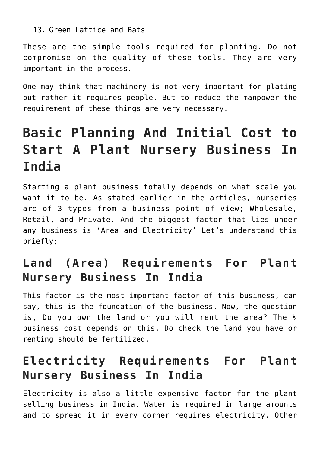#### 13. Green Lattice and Bats

These are the simple tools required for planting. Do not compromise on the quality of these tools. They are very important in the process.

One may think that machinery is not very important for plating but rather it requires people. But to reduce the manpower the requirement of these things are very necessary.

## **Basic Planning And Initial Cost to Start A Plant Nursery Business In India**

Starting a plant business totally depends on what scale you want it to be. As stated earlier in the articles, nurseries are of 3 types from a business point of view; Wholesale, Retail, and Private. And the biggest factor that lies under any business is 'Area and Electricity' Let's understand this briefly;

### **Land (Area) Requirements For Plant Nursery Business In India**

This factor is the most important factor of this business, can say, this is the foundation of the business. Now, the question is, Do you own the land or you will rent the area? The  $\frac{1}{4}$ business cost depends on this. Do check the land you have or renting should be fertilized.

### **Electricity Requirements For Plant Nursery Business In India**

Electricity is also a little expensive factor for the plant selling business in India. Water is required in large amounts and to spread it in every corner requires electricity. Other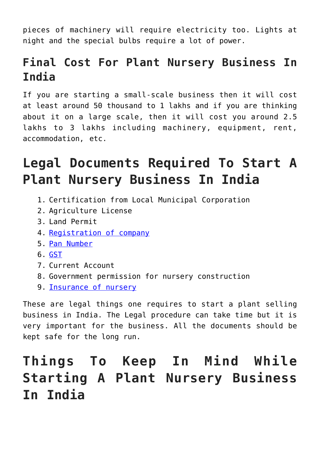pieces of machinery will require electricity too. Lights at night and the special bulbs require a lot of power.

### **Final Cost For Plant Nursery Business In India**

If you are starting a small-scale business then it will cost at least around 50 thousand to 1 lakhs and if you are thinking about it on a large scale, then it will cost you around 2.5 lakhs to 3 lakhs including machinery, equipment, rent, accommodation, etc.

## **Legal Documents Required To Start A Plant Nursery Business In India**

- 1. Certification from Local Municipal Corporation
- 2. Agriculture License
- 3. Land Permit
- 4. [Registration of](https://vakilsearch.com/online-company-registration) [company](https://vakilsearch.com/online-company-registration)
- 5. [Pan Number](https://www.onlineservices.nsdl.com/paam/endUserRegisterContact.html)
- 6. [GST](https://reg.gst.gov.in/registration/)
- 7. Current Account
- 8. Government permission for nursery construction
- 9. [Insurance of nursery](https://www.rma.usda.gov/en/Fact-Sheets/National-Fact-Sheets/Nursery-Commodity-Insurance)

These are legal things one requires to start a plant selling business in India. The Legal procedure can take time but it is very important for the business. All the documents should be kept safe for the long run.

## **Things To Keep In Mind While Starting A Plant Nursery Business In India**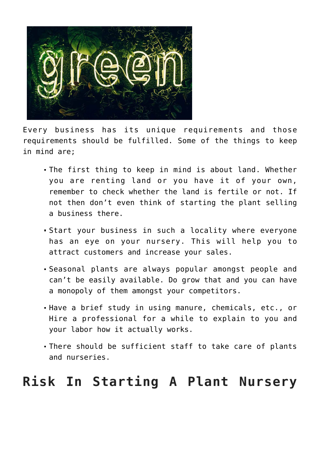

Every business has its unique requirements and those requirements should be fulfilled. Some of the things to keep in mind are;

- The first thing to keep in mind is about land. Whether you are renting land or you have it of your own, remember to check whether the land is fertile or not. If not then don't even think of starting the plant selling a business there.
- Start your business in such a locality where everyone has an eye on your nursery. This will help you to attract customers and increase your sales.
- Seasonal plants are always popular amongst people and can't be easily available. Do grow that and you can have a monopoly of them amongst your competitors.
- Have a brief study in using manure, chemicals, etc., or Hire a professional for a while to explain to you and your labor how it actually works.
- There should be sufficient staff to take care of plants and nurseries.

### **Risk In Starting A Plant Nursery**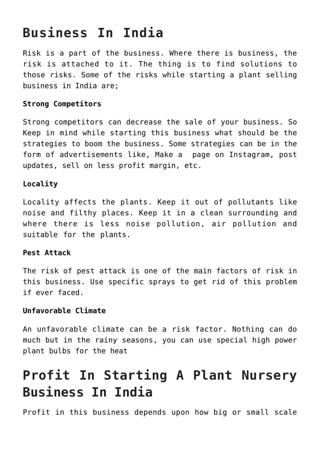## **Business In India**

Risk is a part of the business. Where there is business, the risk is attached to it. The thing is to find solutions to those risks. Some of the risks while starting a plant selling business in India are;

#### **Strong Competitors**

Strong competitors can decrease the sale of your business. So Keep in mind while starting this business what should be the strategies to boom the business. Some strategies can be in the form of advertisements like, Make a page on Instagram, post updates, sell on less profit margin, etc.

#### **Locality**

Locality affects the plants. Keep it out of pollutants like noise and filthy places. Keep it in a clean surrounding and where there is less noise pollution, air pollution and suitable for the plants.

#### **Pest Attack**

The risk of pest attack is one of the main factors of risk in this business. Use specific sprays to get rid of this problem if ever faced.

#### **Unfavorable Climate**

An unfavorable climate can be a risk factor. Nothing can do much but in the rainy seasons, you can use special high power plant bulbs for the heat

## **Profit In Starting A Plant Nursery Business In India**

Profit in this business depends upon how big or small scale